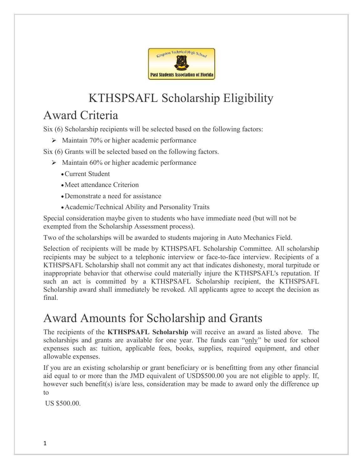

# KTHSPSAFL Scholarship Eligibility

### Award Criteria

Six (6) Scholarship recipients will be selected based on the following factors:

 $\triangleright$  Maintain 70% or higher academic performance

Six (6) Grants will be selected based on the following factors.

- $\triangleright$  Maintain 60% or higher academic performance
	- Current Student
	- Meet attendance Criterion
	- Demonstrate a need for assistance
	- Academic/Technical Ability and Personality Traits

Special consideration maybe given to students who have immediate need (but will not be exempted from the Scholarship Assessment process).

Two of the scholarships will be awarded to students majoring in Auto Mechanics Field.

Selection of recipients will be made by KTHSPSAFL Scholarship Committee. All scholarship recipients may be subject to a telephonic interview or face-to-face interview. Recipients of a KTHSPSAFL Scholarship shall not commit any act that indicates dishonesty, moral turpitude or inappropriate behavior that otherwise could materially injure the KTHSPSAFL's reputation. If such an act is committed by a KTHSPSAFL Scholarship recipient, the KTHSPSAFL Scholarship award shall immediately be revoked. All applicants agree to accept the decision as final.

## Award Amounts for Scholarship and Grants

The recipients of the KTHSPSAFL Scholarship will receive an award as listed above. The scholarships and grants are available for one year. The funds can "only" be used for school expenses such as: tuition, applicable fees, books, supplies, required equipment, and other allowable expenses.

If you are an existing scholarship or grant beneficiary or is benefitting from any other financial aid equal to or more than the JMD equivalent of USD\$500.00 you are not eligible to apply. If, however such benefit(s) is/are less, consideration may be made to award only the difference up to

US \$500.00.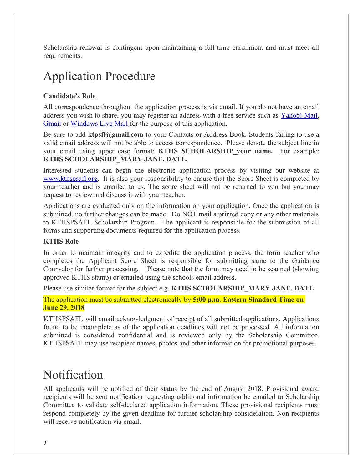Scholarship renewal is contingent upon maintaining a full-time enrollment and must meet all requirements.

### Application Procedure

#### Candidate's Role

All correspondence throughout the application process is via email. If you do not have an email address you wish to share, you may register an address with a free service such as Yahoo! Mail, Gmail or Windows Live Mail for the purpose of this application.

Be sure to add ktpsfl@gmail.com to your Contacts or Address Book. Students failing to use a valid email address will not be able to access correspondence. Please denote the subject line in your email using upper case format: KTHS SCHOLARSHIP your name. For example: KTHS SCHOLARSHIP\_MARY JANE. DATE.

Interested students can begin the electronic application process by visiting our website at www.kthspsafl.org. It is also your responsibility to ensure that the Score Sheet is completed by your teacher and is emailed to us. The score sheet will not be returned to you but you may request to review and discuss it with your teacher.

Applications are evaluated only on the information on your application. Once the application is submitted, no further changes can be made. Do NOT mail a printed copy or any other materials to KTHSPSAFL Scholarship Program. The applicant is responsible for the submission of all forms and supporting documents required for the application process.

#### KTHS Role

In order to maintain integrity and to expedite the application process, the form teacher who completes the Applicant Score Sheet is responsible for submitting same to the Guidance Counselor for further processing. Please note that the form may need to be scanned (showing approved KTHS stamp) or emailed using the schools email address.

Please use similar format for the subject e.g. KTHS SCHOLARSHIP\_MARY JANE. DATE

The application must be submitted electronically by 5:00 p.m. Eastern Standard Time on June 29, 2018

KTHSPSAFL will email acknowledgment of receipt of all submitted applications. Applications found to be incomplete as of the application deadlines will not be processed. All information submitted is considered confidential and is reviewed only by the Scholarship Committee. KTHSPSAFL may use recipient names, photos and other information for promotional purposes.

### Notification

All applicants will be notified of their status by the end of August 2018. Provisional award recipients will be sent notification requesting additional information be emailed to Scholarship Committee to validate self-declared application information. These provisional recipients must respond completely by the given deadline for further scholarship consideration. Non-recipients will receive notification via email.